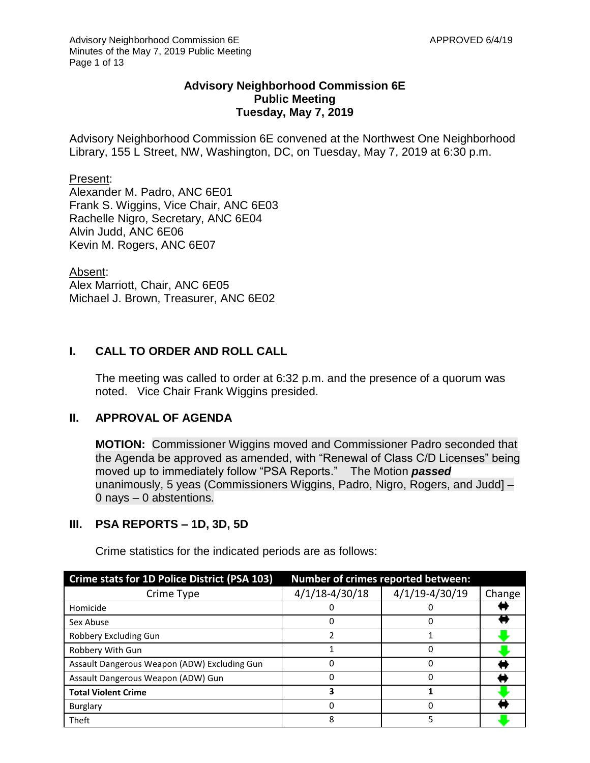### **Advisory Neighborhood Commission 6E Public Meeting Tuesday, May 7, 2019**

Advisory Neighborhood Commission 6E convened at the Northwest One Neighborhood Library, 155 L Street, NW, Washington, DC, on Tuesday, May 7, 2019 at 6:30 p.m.

#### Present:

Alexander M. Padro, ANC 6E01 Frank S. Wiggins, Vice Chair, ANC 6E03 Rachelle Nigro, Secretary, ANC 6E04 Alvin Judd, ANC 6E06 Kevin M. Rogers, ANC 6E07

Absent:

Alex Marriott, Chair, ANC 6E05 Michael J. Brown, Treasurer, ANC 6E02

# **I. CALL TO ORDER AND ROLL CALL**

The meeting was called to order at 6:32 p.m. and the presence of a quorum was noted. Vice Chair Frank Wiggins presided.

#### **II. APPROVAL OF AGENDA**

**MOTION:** Commissioner Wiggins moved and Commissioner Padro seconded that the Agenda be approved as amended, with "Renewal of Class C/D Licenses" being moved up to immediately follow "PSA Reports." The Motion *passed* unanimously, 5 yeas (Commissioners Wiggins, Padro, Nigro, Rogers, and Judd] – 0 nays – 0 abstentions.

### **III. PSA REPORTS – 1D, 3D, 5D**

| Crime stats for 1D Police District (PSA 103) | <b>Number of crimes reported between:</b> |                    |        |
|----------------------------------------------|-------------------------------------------|--------------------|--------|
| Crime Type                                   | $4/1/18 - 4/30/18$                        | $4/1/19 - 4/30/19$ | Change |
| Homicide                                     |                                           |                    |        |
| Sex Abuse                                    |                                           |                    |        |
| Robbery Excluding Gun                        | າ                                         |                    |        |
| Robbery With Gun                             |                                           | 0                  |        |
| Assault Dangerous Weapon (ADW) Excluding Gun |                                           | ŋ                  |        |
| Assault Dangerous Weapon (ADW) Gun           |                                           |                    |        |
| <b>Total Violent Crime</b>                   | 3                                         |                    |        |
| <b>Burglary</b>                              |                                           | n                  |        |
| Theft                                        | 8                                         | 5                  |        |

Crime statistics for the indicated periods are as follows: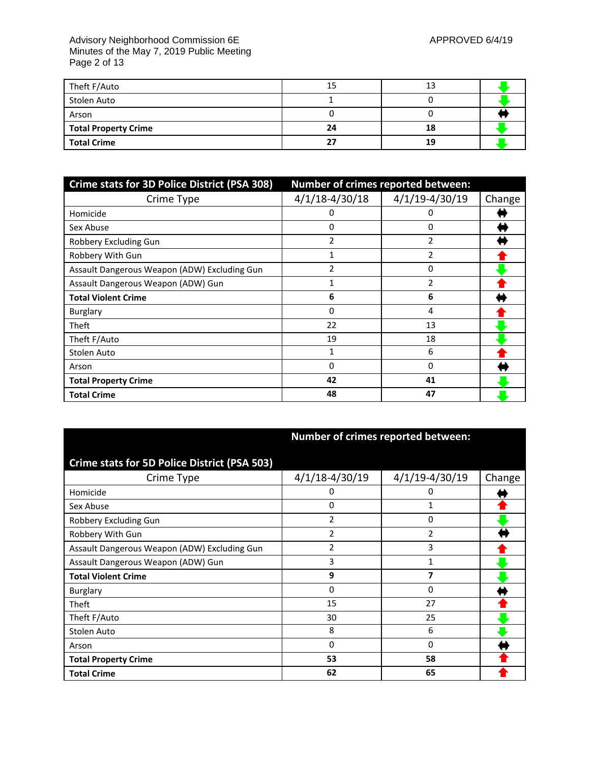#### Advisory Neighborhood Commission 6E APPROVED 6/4/19 Minutes of the May 7, 2019 Public Meeting Page 2 of 13

| Theft F/Auto                | 15 | 13 |  |
|-----------------------------|----|----|--|
| Stolen Auto                 |    |    |  |
| Arson                       |    |    |  |
| <b>Total Property Crime</b> | 24 | 18 |  |
| <b>Total Crime</b>          |    | 19 |  |

| Crime stats for 3D Police District (PSA 308) | Number of crimes reported between: |                    |        |
|----------------------------------------------|------------------------------------|--------------------|--------|
| Crime Type                                   | $4/1/18 - 4/30/18$                 | $4/1/19 - 4/30/19$ | Change |
| Homicide                                     | 0                                  | 0                  |        |
| Sex Abuse                                    | 0                                  | 0                  |        |
| Robbery Excluding Gun                        | 2                                  | 2                  |        |
| Robbery With Gun                             |                                    | 2                  |        |
| Assault Dangerous Weapon (ADW) Excluding Gun | 2                                  | 0                  |        |
| Assault Dangerous Weapon (ADW) Gun           | 1                                  | 2                  |        |
| <b>Total Violent Crime</b>                   | 6                                  | 6                  |        |
| <b>Burglary</b>                              | 0                                  | 4                  |        |
| Theft                                        | 22                                 | 13                 |        |
| Theft F/Auto                                 | 19                                 | 18                 |        |
| Stolen Auto                                  |                                    | 6                  |        |
| Arson                                        | $\Omega$                           | $\Omega$           |        |
| <b>Total Property Crime</b>                  | 42                                 | 41                 |        |
| <b>Total Crime</b>                           | 48                                 | 47                 |        |

|                                              | Number of crimes reported between: |                    |        |
|----------------------------------------------|------------------------------------|--------------------|--------|
| Crime stats for 5D Police District (PSA 503) |                                    |                    |        |
| Crime Type                                   | $4/1/18 - 4/30/19$                 | $4/1/19 - 4/30/19$ | Change |
| Homicide                                     | 0                                  | Ω                  |        |
| Sex Abuse                                    | 0                                  | 1                  |        |
| Robbery Excluding Gun                        | $\overline{2}$                     | 0                  |        |
| Robbery With Gun                             | 2                                  | 2                  |        |
| Assault Dangerous Weapon (ADW) Excluding Gun | $\overline{2}$                     | 3                  |        |
| Assault Dangerous Weapon (ADW) Gun           | 3                                  | 1                  |        |
| <b>Total Violent Crime</b>                   | 9                                  | 7                  |        |
| <b>Burglary</b>                              | 0                                  | 0                  |        |
| Theft                                        | 15                                 | 27                 |        |
| Theft F/Auto                                 | 30                                 | 25                 |        |
| Stolen Auto                                  | 8                                  | 6                  |        |
| Arson                                        | $\mathbf{0}$                       | $\Omega$           |        |
| <b>Total Property Crime</b>                  | 53                                 | 58                 |        |
| <b>Total Crime</b>                           | 62                                 | 65                 |        |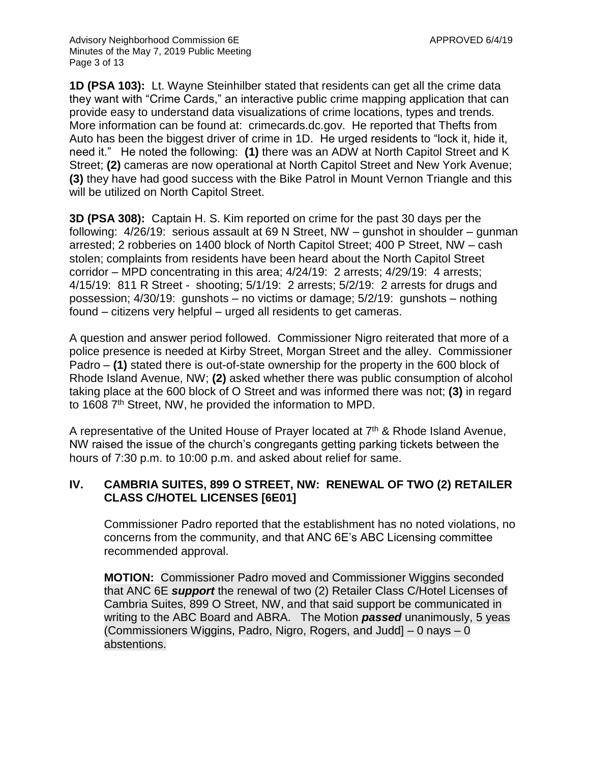**1D (PSA 103):** Lt. Wayne Steinhilber stated that residents can get all the crime data they want with "Crime Cards," an interactive public crime mapping application that can provide easy to understand data visualizations of crime locations, types and trends. More information can be found at: crimecards.dc.gov. He reported that Thefts from Auto has been the biggest driver of crime in 1D. He urged residents to "lock it, hide it, need it." He noted the following: **(1)** there was an ADW at North Capitol Street and K Street; **(2)** cameras are now operational at North Capitol Street and New York Avenue; **(3)** they have had good success with the Bike Patrol in Mount Vernon Triangle and this will be utilized on North Capitol Street.

**3D (PSA 308):** Captain H. S. Kim reported on crime for the past 30 days per the following: 4/26/19: serious assault at 69 N Street, NW – gunshot in shoulder – gunman arrested; 2 robberies on 1400 block of North Capitol Street; 400 P Street, NW – cash stolen; complaints from residents have been heard about the North Capitol Street corridor – MPD concentrating in this area; 4/24/19: 2 arrests; 4/29/19: 4 arrests; 4/15/19: 811 R Street - shooting; 5/1/19: 2 arrests; 5/2/19: 2 arrests for drugs and possession; 4/30/19: gunshots – no victims or damage; 5/2/19: gunshots – nothing found – citizens very helpful – urged all residents to get cameras.

A question and answer period followed. Commissioner Nigro reiterated that more of a police presence is needed at Kirby Street, Morgan Street and the alley. Commissioner Padro – **(1)** stated there is out-of-state ownership for the property in the 600 block of Rhode Island Avenue, NW; **(2)** asked whether there was public consumption of alcohol taking place at the 600 block of O Street and was informed there was not; **(3)** in regard to 1608 7<sup>th</sup> Street, NW, he provided the information to MPD.

A representative of the United House of Prayer located at  $7<sup>th</sup>$  & Rhode Island Avenue, NW raised the issue of the church's congregants getting parking tickets between the hours of 7:30 p.m. to 10:00 p.m. and asked about relief for same.

# **IV. CAMBRIA SUITES, 899 O STREET, NW: RENEWAL OF TWO (2) RETAILER CLASS C/HOTEL LICENSES [6E01]**

Commissioner Padro reported that the establishment has no noted violations, no concerns from the community, and that ANC 6E's ABC Licensing committee recommended approval.

**MOTION:** Commissioner Padro moved and Commissioner Wiggins seconded that ANC 6E *support* the renewal of two (2) Retailer Class C/Hotel Licenses of Cambria Suites, 899 O Street, NW, and that said support be communicated in writing to the ABC Board and ABRA. The Motion *passed* unanimously, 5 yeas (Commissioners Wiggins, Padro, Nigro, Rogers, and Judd] – 0 nays – 0 abstentions.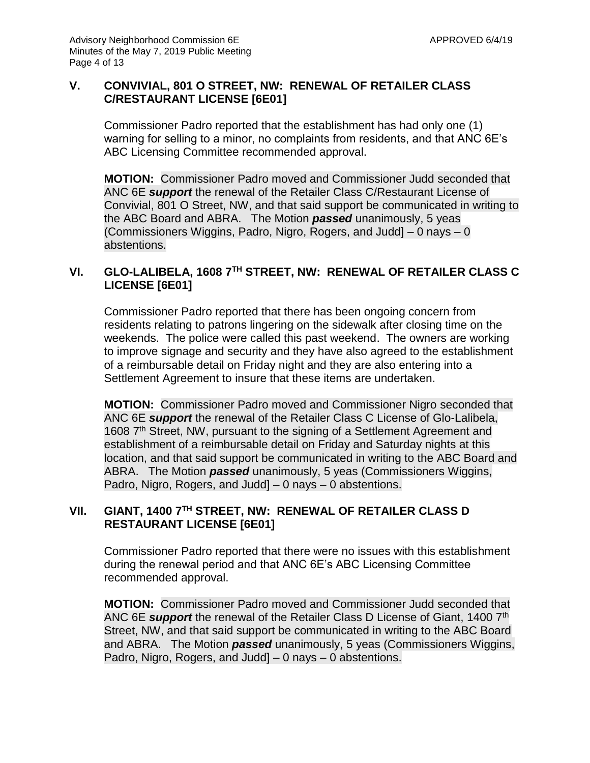# **V. CONVIVIAL, 801 O STREET, NW: RENEWAL OF RETAILER CLASS C/RESTAURANT LICENSE [6E01]**

Commissioner Padro reported that the establishment has had only one (1) warning for selling to a minor, no complaints from residents, and that ANC 6E's ABC Licensing Committee recommended approval.

**MOTION:** Commissioner Padro moved and Commissioner Judd seconded that ANC 6E *support* the renewal of the Retailer Class C/Restaurant License of Convivial, 801 O Street, NW, and that said support be communicated in writing to the ABC Board and ABRA. The Motion *passed* unanimously, 5 yeas (Commissioners Wiggins, Padro, Nigro, Rogers, and Judd] – 0 nays – 0 abstentions.

# **VI. GLO-LALIBELA, 1608 7TH STREET, NW: RENEWAL OF RETAILER CLASS C LICENSE [6E01]**

Commissioner Padro reported that there has been ongoing concern from residents relating to patrons lingering on the sidewalk after closing time on the weekends. The police were called this past weekend. The owners are working to improve signage and security and they have also agreed to the establishment of a reimbursable detail on Friday night and they are also entering into a Settlement Agreement to insure that these items are undertaken.

**MOTION:** Commissioner Padro moved and Commissioner Nigro seconded that ANC 6E *support* the renewal of the Retailer Class C License of Glo-Lalibela, 1608 7<sup>th</sup> Street, NW, pursuant to the signing of a Settlement Agreement and establishment of a reimbursable detail on Friday and Saturday nights at this location, and that said support be communicated in writing to the ABC Board and ABRA. The Motion *passed* unanimously, 5 yeas (Commissioners Wiggins, Padro, Nigro, Rogers, and Judd] – 0 nays – 0 abstentions.

# **VII. GIANT, 1400 7TH STREET, NW: RENEWAL OF RETAILER CLASS D RESTAURANT LICENSE [6E01]**

Commissioner Padro reported that there were no issues with this establishment during the renewal period and that ANC 6E's ABC Licensing Committee recommended approval.

**MOTION:** Commissioner Padro moved and Commissioner Judd seconded that ANC 6E *support* the renewal of the Retailer Class D License of Giant, 1400 7th Street, NW, and that said support be communicated in writing to the ABC Board and ABRA. The Motion *passed* unanimously, 5 yeas (Commissioners Wiggins, Padro, Nigro, Rogers, and Judd] – 0 nays – 0 abstentions.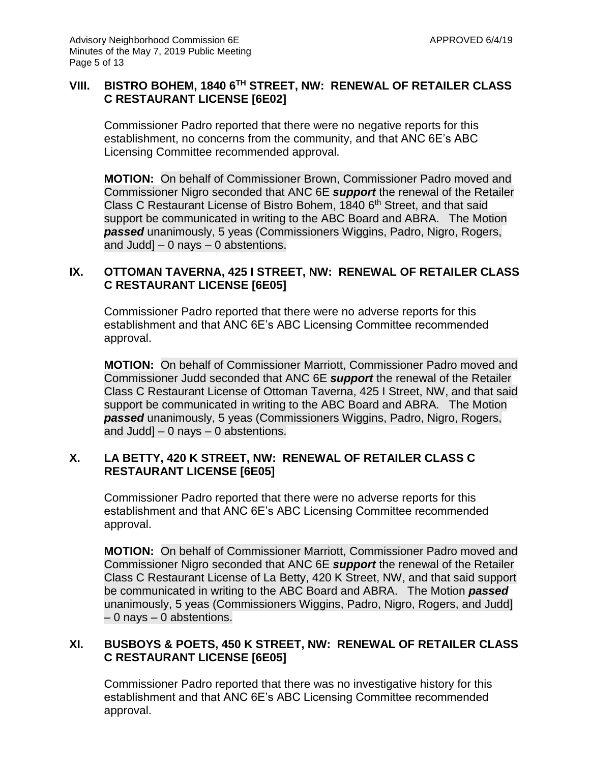# **VIII. BISTRO BOHEM, 1840 6TH STREET, NW: RENEWAL OF RETAILER CLASS C RESTAURANT LICENSE [6E02]**

Commissioner Padro reported that there were no negative reports for this establishment, no concerns from the community, and that ANC 6E's ABC Licensing Committee recommended approval.

**MOTION:** On behalf of Commissioner Brown, Commissioner Padro moved and Commissioner Nigro seconded that ANC 6E *support* the renewal of the Retailer Class C Restaurant License of Bistro Bohem, 1840 6<sup>th</sup> Street, and that said support be communicated in writing to the ABC Board and ABRA. The Motion *passed* unanimously, 5 yeas (Commissioners Wiggins, Padro, Nigro, Rogers, and Judd]  $-$  0 nays  $-$  0 abstentions.

### **IX. OTTOMAN TAVERNA, 425 I STREET, NW: RENEWAL OF RETAILER CLASS C RESTAURANT LICENSE [6E05]**

Commissioner Padro reported that there were no adverse reports for this establishment and that ANC 6E's ABC Licensing Committee recommended approval.

**MOTION:** On behalf of Commissioner Marriott, Commissioner Padro moved and Commissioner Judd seconded that ANC 6E *support* the renewal of the Retailer Class C Restaurant License of Ottoman Taverna, 425 I Street, NW, and that said support be communicated in writing to the ABC Board and ABRA. The Motion *passed* unanimously, 5 yeas (Commissioners Wiggins, Padro, Nigro, Rogers, and Judd] – 0 nays – 0 abstentions.

# **X. LA BETTY, 420 K STREET, NW: RENEWAL OF RETAILER CLASS C RESTAURANT LICENSE [6E05]**

Commissioner Padro reported that there were no adverse reports for this establishment and that ANC 6E's ABC Licensing Committee recommended approval.

**MOTION:** On behalf of Commissioner Marriott, Commissioner Padro moved and Commissioner Nigro seconded that ANC 6E *support* the renewal of the Retailer Class C Restaurant License of La Betty, 420 K Street, NW, and that said support be communicated in writing to the ABC Board and ABRA. The Motion *passed* unanimously, 5 yeas (Commissioners Wiggins, Padro, Nigro, Rogers, and Judd] – 0 nays – 0 abstentions.

### **XI. BUSBOYS & POETS, 450 K STREET, NW: RENEWAL OF RETAILER CLASS C RESTAURANT LICENSE [6E05]**

Commissioner Padro reported that there was no investigative history for this establishment and that ANC 6E's ABC Licensing Committee recommended approval.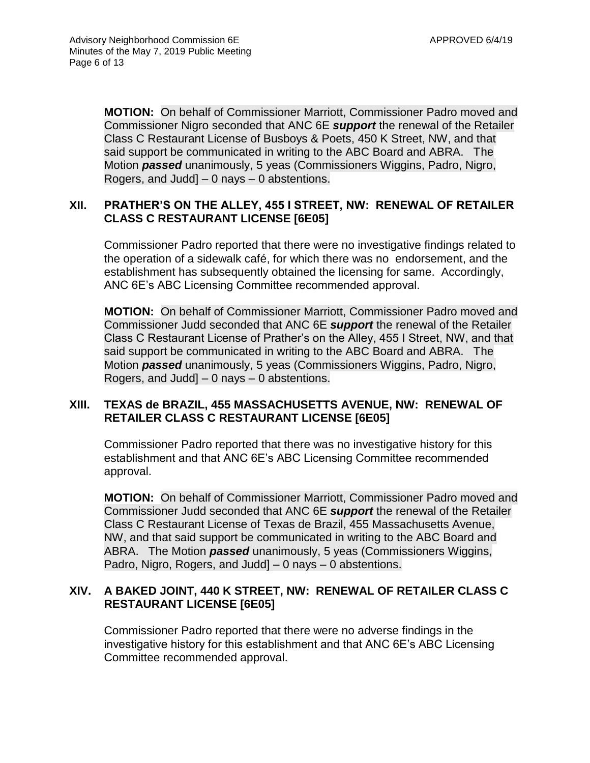**MOTION:** On behalf of Commissioner Marriott, Commissioner Padro moved and Commissioner Nigro seconded that ANC 6E *support* the renewal of the Retailer Class C Restaurant License of Busboys & Poets, 450 K Street, NW, and that said support be communicated in writing to the ABC Board and ABRA. The Motion *passed* unanimously, 5 yeas (Commissioners Wiggins, Padro, Nigro, Rogers, and Judd] – 0 nays – 0 abstentions.

### **XII. PRATHER'S ON THE ALLEY, 455 I STREET, NW: RENEWAL OF RETAILER CLASS C RESTAURANT LICENSE [6E05]**

Commissioner Padro reported that there were no investigative findings related to the operation of a sidewalk café, for which there was no endorsement, and the establishment has subsequently obtained the licensing for same. Accordingly, ANC 6E's ABC Licensing Committee recommended approval.

**MOTION:** On behalf of Commissioner Marriott, Commissioner Padro moved and Commissioner Judd seconded that ANC 6E *support* the renewal of the Retailer Class C Restaurant License of Prather's on the Alley, 455 I Street, NW, and that said support be communicated in writing to the ABC Board and ABRA. The Motion *passed* unanimously, 5 yeas (Commissioners Wiggins, Padro, Nigro, Rogers, and Judd] – 0 nays – 0 abstentions.

# **XIII. TEXAS de BRAZIL, 455 MASSACHUSETTS AVENUE, NW: RENEWAL OF RETAILER CLASS C RESTAURANT LICENSE [6E05]**

Commissioner Padro reported that there was no investigative history for this establishment and that ANC 6E's ABC Licensing Committee recommended approval.

**MOTION:** On behalf of Commissioner Marriott, Commissioner Padro moved and Commissioner Judd seconded that ANC 6E *support* the renewal of the Retailer Class C Restaurant License of Texas de Brazil, 455 Massachusetts Avenue, NW, and that said support be communicated in writing to the ABC Board and ABRA. The Motion *passed* unanimously, 5 yeas (Commissioners Wiggins, Padro, Nigro, Rogers, and Judd] – 0 nays – 0 abstentions.

# **XIV. A BAKED JOINT, 440 K STREET, NW: RENEWAL OF RETAILER CLASS C RESTAURANT LICENSE [6E05]**

Commissioner Padro reported that there were no adverse findings in the investigative history for this establishment and that ANC 6E's ABC Licensing Committee recommended approval.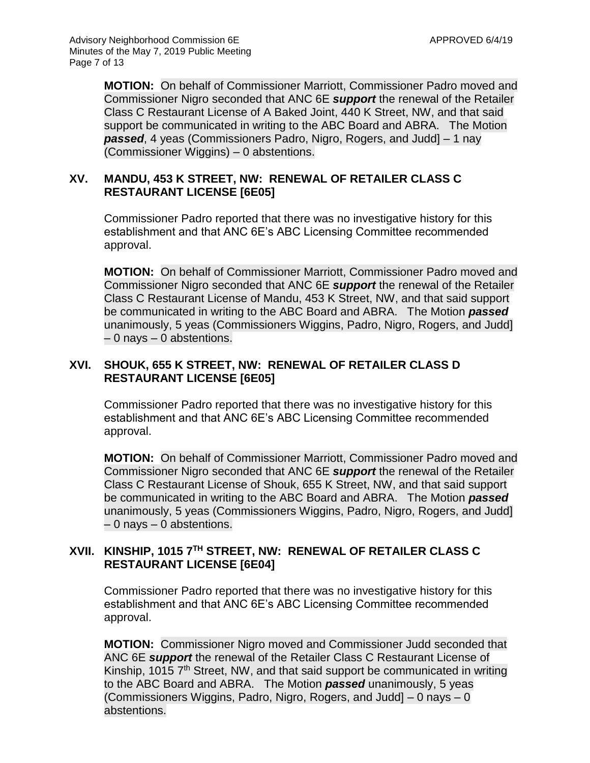**MOTION:** On behalf of Commissioner Marriott, Commissioner Padro moved and Commissioner Nigro seconded that ANC 6E *support* the renewal of the Retailer Class C Restaurant License of A Baked Joint, 440 K Street, NW, and that said support be communicated in writing to the ABC Board and ABRA. The Motion *passed*, 4 yeas (Commissioners Padro, Nigro, Rogers, and Judd] – 1 nay (Commissioner Wiggins) – 0 abstentions.

# **XV. MANDU, 453 K STREET, NW: RENEWAL OF RETAILER CLASS C RESTAURANT LICENSE [6E05]**

Commissioner Padro reported that there was no investigative history for this establishment and that ANC 6E's ABC Licensing Committee recommended approval.

**MOTION:** On behalf of Commissioner Marriott, Commissioner Padro moved and Commissioner Nigro seconded that ANC 6E *support* the renewal of the Retailer Class C Restaurant License of Mandu, 453 K Street, NW, and that said support be communicated in writing to the ABC Board and ABRA. The Motion *passed* unanimously, 5 yeas (Commissioners Wiggins, Padro, Nigro, Rogers, and Judd] – 0 nays – 0 abstentions.

# **XVI. SHOUK, 655 K STREET, NW: RENEWAL OF RETAILER CLASS D RESTAURANT LICENSE [6E05]**

Commissioner Padro reported that there was no investigative history for this establishment and that ANC 6E's ABC Licensing Committee recommended approval.

**MOTION:** On behalf of Commissioner Marriott, Commissioner Padro moved and Commissioner Nigro seconded that ANC 6E *support* the renewal of the Retailer Class C Restaurant License of Shouk, 655 K Street, NW, and that said support be communicated in writing to the ABC Board and ABRA. The Motion *passed* unanimously, 5 yeas (Commissioners Wiggins, Padro, Nigro, Rogers, and Judd] – 0 nays – 0 abstentions.

# **XVII. KINSHIP, 1015 7TH STREET, NW: RENEWAL OF RETAILER CLASS C RESTAURANT LICENSE [6E04]**

Commissioner Padro reported that there was no investigative history for this establishment and that ANC 6E's ABC Licensing Committee recommended approval.

**MOTION:** Commissioner Nigro moved and Commissioner Judd seconded that ANC 6E *support* the renewal of the Retailer Class C Restaurant License of Kinship, 1015 7<sup>th</sup> Street, NW, and that said support be communicated in writing to the ABC Board and ABRA. The Motion *passed* unanimously, 5 yeas (Commissioners Wiggins, Padro, Nigro, Rogers, and Judd] – 0 nays – 0 abstentions.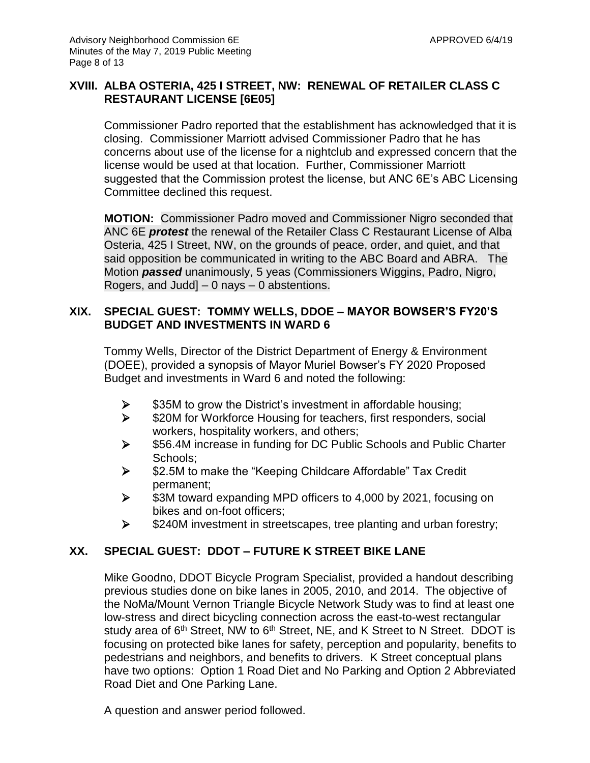# **XVIII. ALBA OSTERIA, 425 I STREET, NW: RENEWAL OF RETAILER CLASS C RESTAURANT LICENSE [6E05]**

Commissioner Padro reported that the establishment has acknowledged that it is closing. Commissioner Marriott advised Commissioner Padro that he has concerns about use of the license for a nightclub and expressed concern that the license would be used at that location. Further, Commissioner Marriott suggested that the Commission protest the license, but ANC 6E's ABC Licensing Committee declined this request.

**MOTION:** Commissioner Padro moved and Commissioner Nigro seconded that ANC 6E *protest* the renewal of the Retailer Class C Restaurant License of Alba Osteria, 425 I Street, NW, on the grounds of peace, order, and quiet, and that said opposition be communicated in writing to the ABC Board and ABRA. The Motion *passed* unanimously, 5 yeas (Commissioners Wiggins, Padro, Nigro, Rogers, and Judd] – 0 nays – 0 abstentions.

### **XIX. SPECIAL GUEST: TOMMY WELLS, DDOE – MAYOR BOWSER'S FY20'S BUDGET AND INVESTMENTS IN WARD 6**

Tommy Wells, Director of the District Department of Energy & Environment (DOEE), provided a synopsis of Mayor Muriel Bowser's FY 2020 Proposed Budget and investments in Ward 6 and noted the following:

- $\triangleright$  \$35M to grow the District's investment in affordable housing;
- **>** \$20M for Workforce Housing for teachers, first responders, social workers, hospitality workers, and others;
- $\triangleright$  \$56.4M increase in funding for DC Public Schools and Public Charter Schools;
- \$2.5M to make the "Keeping Childcare Affordable" Tax Credit permanent;
- $\geq$  \$3M toward expanding MPD officers to 4,000 by 2021, focusing on bikes and on-foot officers;
- $\triangleright$  \$240M investment in streetscapes, tree planting and urban forestry;

# **XX. SPECIAL GUEST: DDOT – FUTURE K STREET BIKE LANE**

Mike Goodno, DDOT Bicycle Program Specialist, provided a handout describing previous studies done on bike lanes in 2005, 2010, and 2014. The objective of the NoMa/Mount Vernon Triangle Bicycle Network Study was to find at least one low-stress and direct bicycling connection across the east-to-west rectangular study area of 6<sup>th</sup> Street, NW to 6<sup>th</sup> Street, NE, and K Street to N Street. DDOT is focusing on protected bike lanes for safety, perception and popularity, benefits to pedestrians and neighbors, and benefits to drivers. K Street conceptual plans have two options: Option 1 Road Diet and No Parking and Option 2 Abbreviated Road Diet and One Parking Lane.

A question and answer period followed.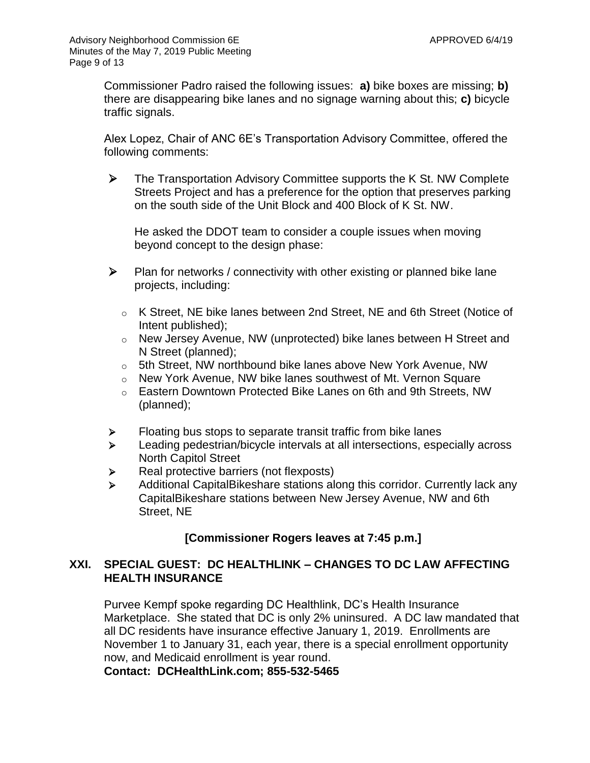Commissioner Padro raised the following issues: **a)** bike boxes are missing; **b)** there are disappearing bike lanes and no signage warning about this; **c)** bicycle traffic signals.

Alex Lopez, Chair of ANC 6E's Transportation Advisory Committee, offered the following comments:

 $\triangleright$  The Transportation Advisory Committee supports the K St. NW Complete Streets Project and has a preference for the option that preserves parking on the south side of the Unit Block and 400 Block of K St. NW.

He asked the DDOT team to consider a couple issues when moving beyond concept to the design phase:

- $\triangleright$  Plan for networks / connectivity with other existing or planned bike lane projects, including:
	- $\circ$  K Street, NE bike lanes between 2nd Street, NE and 6th Street (Notice of Intent published);
	- o New Jersey Avenue, NW (unprotected) bike lanes between H Street and N Street (planned);
	- o 5th Street, NW northbound bike lanes above New York Avenue, NW
	- o New York Avenue, NW bike lanes southwest of Mt. Vernon Square
	- o Eastern Downtown Protected Bike Lanes on 6th and 9th Streets, NW (planned);
- $\triangleright$  Floating bus stops to separate transit traffic from bike lanes
- Eeading pedestrian/bicycle intervals at all intersections, especially across North Capitol Street
- Real protective barriers (not flexposts)
- Additional CapitalBikeshare stations along this corridor. Currently lack any CapitalBikeshare stations between New Jersey Avenue, NW and 6th Street, NE

# **[Commissioner Rogers leaves at 7:45 p.m.]**

# **XXI. SPECIAL GUEST: DC HEALTHLINK – CHANGES TO DC LAW AFFECTING HEALTH INSURANCE**

Purvee Kempf spoke regarding DC Healthlink, DC's Health Insurance Marketplace. She stated that DC is only 2% uninsured. A DC law mandated that all DC residents have insurance effective January 1, 2019. Enrollments are November 1 to January 31, each year, there is a special enrollment opportunity now, and Medicaid enrollment is year round.

**Contact: DCHealthLink.com; 855-532-5465**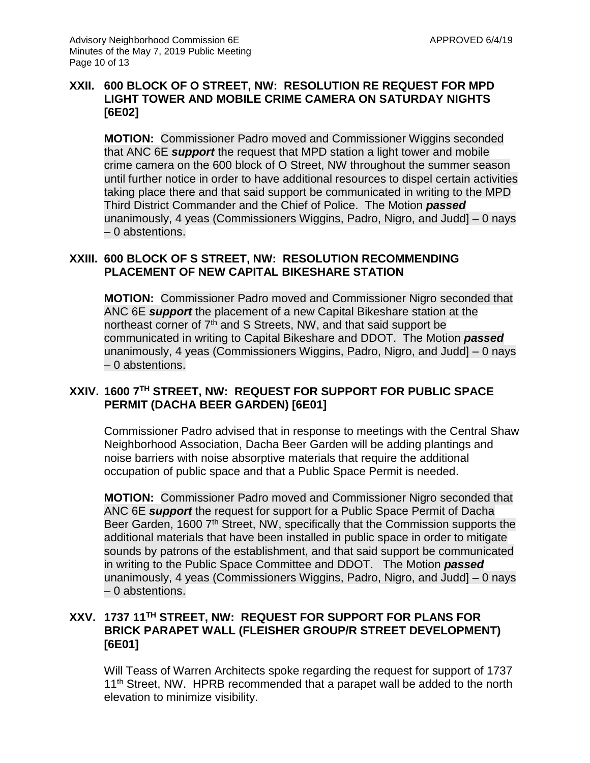## **XXII. 600 BLOCK OF O STREET, NW: RESOLUTION RE REQUEST FOR MPD LIGHT TOWER AND MOBILE CRIME CAMERA ON SATURDAY NIGHTS [6E02]**

**MOTION:** Commissioner Padro moved and Commissioner Wiggins seconded that ANC 6E *support* the request that MPD station a light tower and mobile crime camera on the 600 block of O Street, NW throughout the summer season until further notice in order to have additional resources to dispel certain activities taking place there and that said support be communicated in writing to the MPD Third District Commander and the Chief of Police. The Motion *passed* unanimously, 4 yeas (Commissioners Wiggins, Padro, Nigro, and Judd] – 0 nays – 0 abstentions.

# **XXIII. 600 BLOCK OF S STREET, NW: RESOLUTION RECOMMENDING PLACEMENT OF NEW CAPITAL BIKESHARE STATION**

**MOTION:** Commissioner Padro moved and Commissioner Nigro seconded that ANC 6E *support* the placement of a new Capital Bikeshare station at the northeast corner of 7<sup>th</sup> and S Streets, NW, and that said support be communicated in writing to Capital Bikeshare and DDOT. The Motion *passed* unanimously, 4 yeas (Commissioners Wiggins, Padro, Nigro, and Judd] – 0 nays – 0 abstentions.

# **XXIV. 1600 7TH STREET, NW: REQUEST FOR SUPPORT FOR PUBLIC SPACE PERMIT (DACHA BEER GARDEN) [6E01]**

Commissioner Padro advised that in response to meetings with the Central Shaw Neighborhood Association, Dacha Beer Garden will be adding plantings and noise barriers with noise absorptive materials that require the additional occupation of public space and that a Public Space Permit is needed.

**MOTION:** Commissioner Padro moved and Commissioner Nigro seconded that ANC 6E *support* the request for support for a Public Space Permit of Dacha Beer Garden, 1600 7<sup>th</sup> Street, NW, specifically that the Commission supports the additional materials that have been installed in public space in order to mitigate sounds by patrons of the establishment, and that said support be communicated in writing to the Public Space Committee and DDOT. The Motion *passed* unanimously, 4 yeas (Commissioners Wiggins, Padro, Nigro, and Judd] – 0 nays – 0 abstentions.

# **XXV. 1737 11TH STREET, NW: REQUEST FOR SUPPORT FOR PLANS FOR BRICK PARAPET WALL (FLEISHER GROUP/R STREET DEVELOPMENT) [6E01]**

Will Teass of Warren Architects spoke regarding the request for support of 1737 11<sup>th</sup> Street, NW. HPRB recommended that a parapet wall be added to the north elevation to minimize visibility.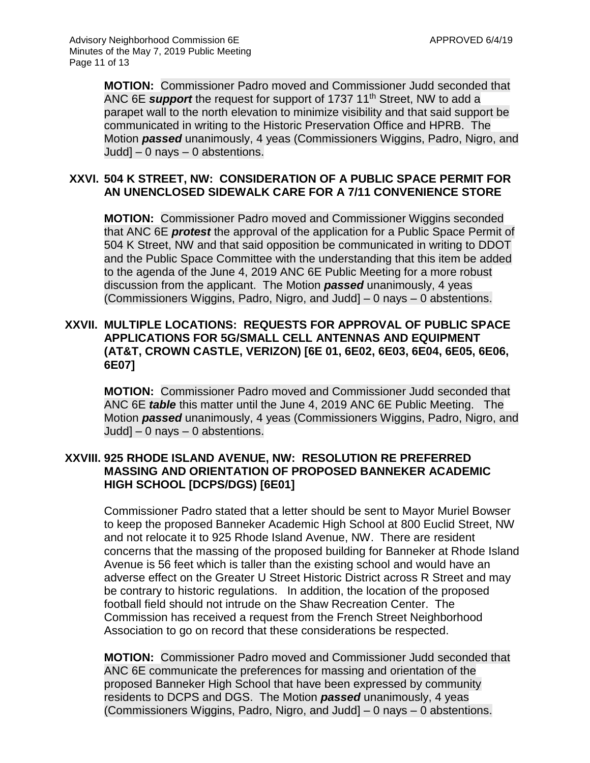**MOTION:** Commissioner Padro moved and Commissioner Judd seconded that ANC 6E *support* the request for support of 1737 11th Street, NW to add a parapet wall to the north elevation to minimize visibility and that said support be communicated in writing to the Historic Preservation Office and HPRB. The Motion *passed* unanimously, 4 yeas (Commissioners Wiggins, Padro, Nigro, and Judd] – 0 nays – 0 abstentions.

### **XXVI. 504 K STREET, NW: CONSIDERATION OF A PUBLIC SPACE PERMIT FOR AN UNENCLOSED SIDEWALK CARE FOR A 7/11 CONVENIENCE STORE**

**MOTION:** Commissioner Padro moved and Commissioner Wiggins seconded that ANC 6E *protest* the approval of the application for a Public Space Permit of 504 K Street, NW and that said opposition be communicated in writing to DDOT and the Public Space Committee with the understanding that this item be added to the agenda of the June 4, 2019 ANC 6E Public Meeting for a more robust discussion from the applicant. The Motion *passed* unanimously, 4 yeas (Commissioners Wiggins, Padro, Nigro, and Judd] – 0 nays – 0 abstentions.

# **XXVII. MULTIPLE LOCATIONS: REQUESTS FOR APPROVAL OF PUBLIC SPACE APPLICATIONS FOR 5G/SMALL CELL ANTENNAS AND EQUIPMENT (AT&T, CROWN CASTLE, VERIZON) [6E 01, 6E02, 6E03, 6E04, 6E05, 6E06, 6E07]**

**MOTION:** Commissioner Padro moved and Commissioner Judd seconded that ANC 6E *table* this matter until the June 4, 2019 ANC 6E Public Meeting. The Motion *passed* unanimously, 4 yeas (Commissioners Wiggins, Padro, Nigro, and Judd] – 0 nays – 0 abstentions.

### **XXVIII. 925 RHODE ISLAND AVENUE, NW: RESOLUTION RE PREFERRED MASSING AND ORIENTATION OF PROPOSED BANNEKER ACADEMIC HIGH SCHOOL [DCPS/DGS) [6E01]**

Commissioner Padro stated that a letter should be sent to Mayor Muriel Bowser to keep the proposed Banneker Academic High School at 800 Euclid Street, NW and not relocate it to 925 Rhode Island Avenue, NW. There are resident concerns that the massing of the proposed building for Banneker at Rhode Island Avenue is 56 feet which is taller than the existing school and would have an adverse effect on the Greater U Street Historic District across R Street and may be contrary to historic regulations. In addition, the location of the proposed football field should not intrude on the Shaw Recreation Center. The Commission has received a request from the French Street Neighborhood Association to go on record that these considerations be respected.

**MOTION:** Commissioner Padro moved and Commissioner Judd seconded that ANC 6E communicate the preferences for massing and orientation of the proposed Banneker High School that have been expressed by community residents to DCPS and DGS. The Motion *passed* unanimously, 4 yeas (Commissioners Wiggins, Padro, Nigro, and Judd] – 0 nays – 0 abstentions.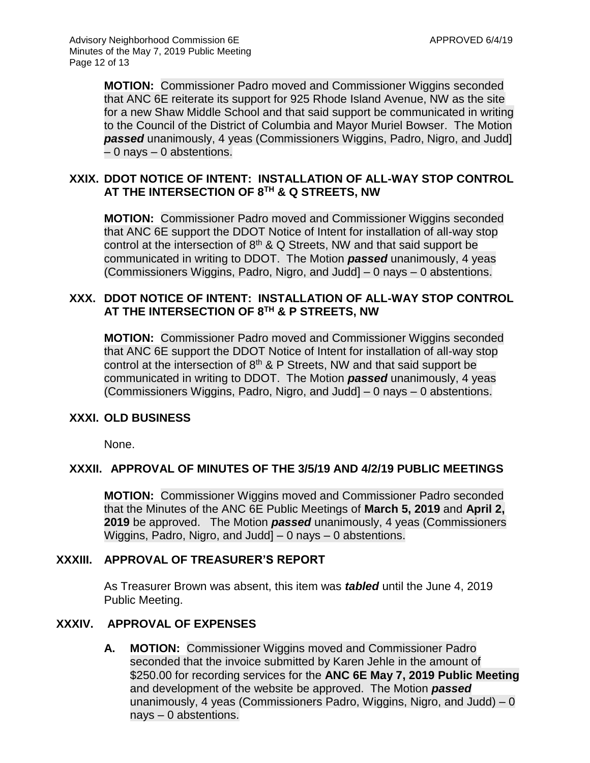**MOTION:** Commissioner Padro moved and Commissioner Wiggins seconded that ANC 6E reiterate its support for 925 Rhode Island Avenue, NW as the site for a new Shaw Middle School and that said support be communicated in writing to the Council of the District of Columbia and Mayor Muriel Bowser. The Motion *passed* unanimously, 4 yeas (Commissioners Wiggins, Padro, Nigro, and Judd] – 0 nays – 0 abstentions.

### **XXIX. DDOT NOTICE OF INTENT: INSTALLATION OF ALL-WAY STOP CONTROL AT THE INTERSECTION OF 8TH & Q STREETS, NW**

**MOTION:** Commissioner Padro moved and Commissioner Wiggins seconded that ANC 6E support the DDOT Notice of Intent for installation of all-way stop control at the intersection of  $8<sup>th</sup>$  & Q Streets, NW and that said support be communicated in writing to DDOT. The Motion *passed* unanimously, 4 yeas (Commissioners Wiggins, Padro, Nigro, and Judd] – 0 nays – 0 abstentions.

# **XXX. DDOT NOTICE OF INTENT: INSTALLATION OF ALL-WAY STOP CONTROL AT THE INTERSECTION OF 8TH & P STREETS, NW**

**MOTION:** Commissioner Padro moved and Commissioner Wiggins seconded that ANC 6E support the DDOT Notice of Intent for installation of all-way stop control at the intersection of  $8<sup>th</sup>$  & P Streets, NW and that said support be communicated in writing to DDOT. The Motion *passed* unanimously, 4 yeas (Commissioners Wiggins, Padro, Nigro, and Judd] – 0 nays – 0 abstentions.

### **XXXI. OLD BUSINESS**

None.

### **XXXII. APPROVAL OF MINUTES OF THE 3/5/19 AND 4/2/19 PUBLIC MEETINGS**

**MOTION:** Commissioner Wiggins moved and Commissioner Padro seconded that the Minutes of the ANC 6E Public Meetings of **March 5, 2019** and **April 2, 2019** be approved. The Motion *passed* unanimously, 4 yeas (Commissioners Wiggins, Padro, Nigro, and Judd] – 0 nays – 0 abstentions.

### **XXXIII. APPROVAL OF TREASURER'S REPORT**

As Treasurer Brown was absent, this item was *tabled* until the June 4, 2019 Public Meeting.

### **XXXIV. APPROVAL OF EXPENSES**

**A. MOTION:** Commissioner Wiggins moved and Commissioner Padro seconded that the invoice submitted by Karen Jehle in the amount of \$250.00 for recording services for the **ANC 6E May 7, 2019 Public Meeting** and development of the website be approved. The Motion *passed* unanimously, 4 yeas (Commissioners Padro, Wiggins, Nigro, and Judd)  $-0$ nays – 0 abstentions.